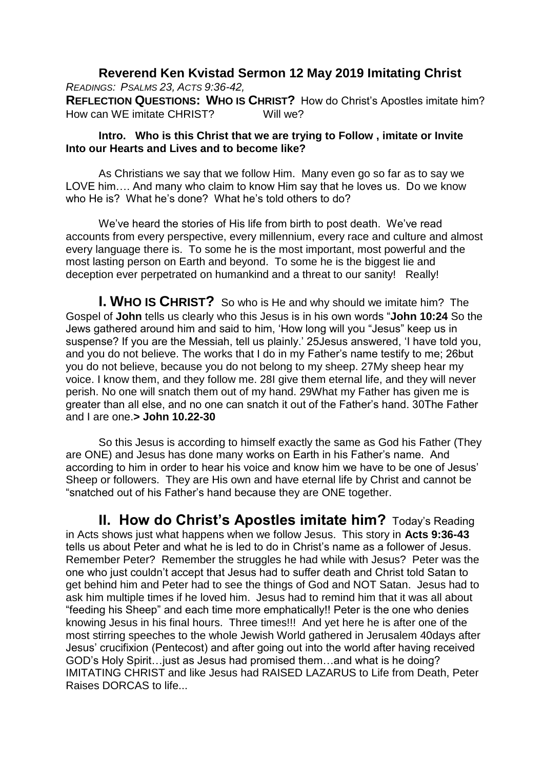## **Reverend Ken Kvistad Sermon 12 May 2019 Imitating Christ**

*READINGS: PSALMS 23, ACTS 9:36-42,*

**REFLECTION QUESTIONS: WHO IS CHRIST?** How do Christ's Apostles imitate him? How can WE imitate CHRIST? Will we?

## **Intro. Who is this Christ that we are trying to Follow , imitate or Invite Into our Hearts and Lives and to become like?**

As Christians we say that we follow Him. Many even go so far as to say we LOVE him…. And many who claim to know Him say that he loves us. Do we know who He is? What he's done? What he's told others to do?

We've heard the stories of His life from birth to post death. We've read accounts from every perspective, every millennium, every race and culture and almost every language there is. To some he is the most important, most powerful and the most lasting person on Earth and beyond. To some he is the biggest lie and deception ever perpetrated on humankind and a threat to our sanity! Really!

**I. WHO IS CHRIST?** So who is He and why should we imitate him? The Gospel of **John** tells us clearly who this Jesus is in his own words "**John 10:24** So the Jews gathered around him and said to him, 'How long will you "Jesus" keep us in suspense? If you are the Messiah, tell us plainly.' 25Jesus answered, 'I have told you, and you do not believe. The works that I do in my Father's name testify to me; 26but you do not believe, because you do not belong to my sheep. 27My sheep hear my voice. I know them, and they follow me. 28I give them eternal life, and they will never perish. No one will snatch them out of my hand. 29What my Father has given me is greater than all else, and no one can snatch it out of the Father's hand. 30The Father and I are one.**> John 10.22-30**

So this Jesus is according to himself exactly the same as God his Father (They are ONE) and Jesus has done many works on Earth in his Father's name. And according to him in order to hear his voice and know him we have to be one of Jesus' Sheep or followers. They are His own and have eternal life by Christ and cannot be "snatched out of his Father's hand because they are ONE together.

**II. How do Christ's Apostles imitate him?** Today's Reading in Acts shows just what happens when we follow Jesus. This story in **Acts 9:36-43** tells us about Peter and what he is led to do in Christ's name as a follower of Jesus. Remember Peter? Remember the struggles he had while with Jesus? Peter was the one who just couldn't accept that Jesus had to suffer death and Christ told Satan to get behind him and Peter had to see the things of God and NOT Satan. Jesus had to ask him multiple times if he loved him. Jesus had to remind him that it was all about "feeding his Sheep" and each time more emphatically!! Peter is the one who denies knowing Jesus in his final hours. Three times!!! And yet here he is after one of the most stirring speeches to the whole Jewish World gathered in Jerusalem 40days after Jesus' crucifixion (Pentecost) and after going out into the world after having received GOD's Holy Spirit…just as Jesus had promised them…and what is he doing? IMITATING CHRIST and like Jesus had RAISED LAZARUS to Life from Death, Peter Raises DORCAS to life...